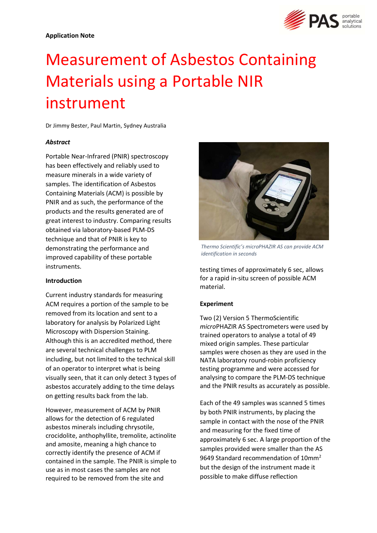

# Measurement of Asbestos Containing Materials using a Portable NIR instrument

Dr Jimmy Bester, Paul Martin, Sydney Australia

# Abstract

Portable Near-Infrared (PNIR) spectroscopy has been effectively and reliably used to measure minerals in a wide variety of samples. The identification of Asbestos Containing Materials (ACM) is possible by PNIR and as such, the performance of the products and the results generated are of great interest to industry. Comparing results obtained via laboratory-based PLM-DS technique and that of PNIR is key to demonstrating the performance and improved capability of these portable instruments.

### Introduction

Current industry standards for measuring ACM requires a portion of the sample to be removed from its location and sent to a laboratory for analysis by Polarized Light Microscopy with Dispersion Staining. Although this is an accredited method, there are several technical challenges to PLM including, but not limited to the technical skill of an operator to interpret what is being visually seen, that it can only detect 3 types of asbestos accurately adding to the time delays on getting results back from the lab.

However, measurement of ACM by PNIR allows for the detection of 6 regulated asbestos minerals including chrysotile, crocidolite, anthophyllite, tremolite, actinolite and amosite, meaning a high chance to correctly identify the presence of ACM if contained in the sample. The PNIR is simple to use as in most cases the samples are not required to be removed from the site and



Thermo Scientific's microPHAZIR AS can provide ACM identification in seconds

testing times of approximately 6 sec, allows for a rapid in-situ screen of possible ACM material.

# Experiment

Two (2) Version 5 ThermoScientific microPHAZIR AS Spectrometers were used by trained operators to analyse a total of 49 mixed origin samples. These particular samples were chosen as they are used in the NATA laboratory round-robin proficiency testing programme and were accessed for analysing to compare the PLM-DS technique and the PNIR results as accurately as possible.

Each of the 49 samples was scanned 5 times by both PNIR instruments, by placing the sample in contact with the nose of the PNIR and measuring for the fixed time of approximately 6 sec. A large proportion of the samples provided were smaller than the AS 9649 Standard recommendation of 10mm<sup>2</sup> but the design of the instrument made it possible to make diffuse reflection